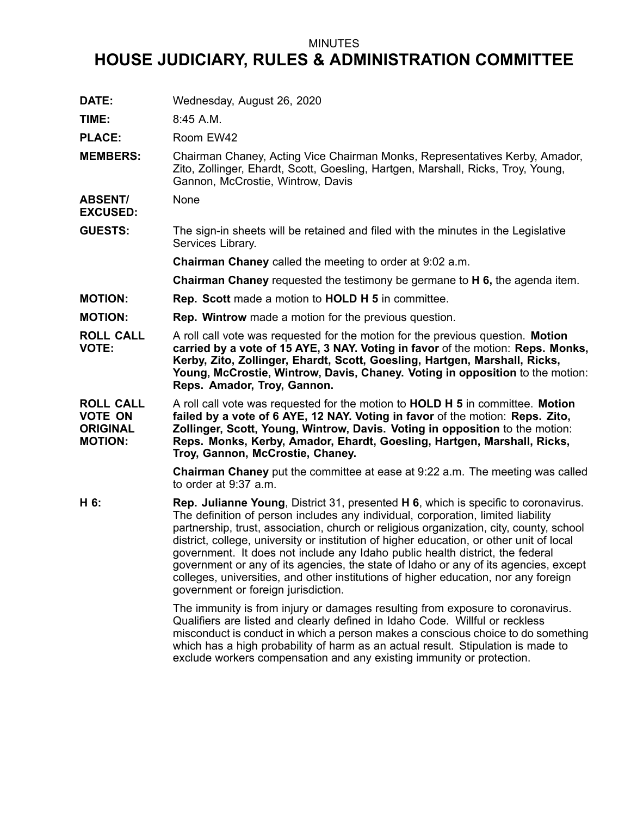## MINUTES

## **HOUSE JUDICIARY, RULES & ADMINISTRATION COMMITTEE**

| DATE:                                                                   | Wednesday, August 26, 2020                                                                                                                                                                                                                                                                                                                                                                                                                                                                                                                                                                                                                                                  |
|-------------------------------------------------------------------------|-----------------------------------------------------------------------------------------------------------------------------------------------------------------------------------------------------------------------------------------------------------------------------------------------------------------------------------------------------------------------------------------------------------------------------------------------------------------------------------------------------------------------------------------------------------------------------------------------------------------------------------------------------------------------------|
| TIME:                                                                   | 8:45 A.M.                                                                                                                                                                                                                                                                                                                                                                                                                                                                                                                                                                                                                                                                   |
| <b>PLACE:</b>                                                           | Room EW42                                                                                                                                                                                                                                                                                                                                                                                                                                                                                                                                                                                                                                                                   |
| <b>MEMBERS:</b>                                                         | Chairman Chaney, Acting Vice Chairman Monks, Representatives Kerby, Amador,<br>Zito, Zollinger, Ehardt, Scott, Goesling, Hartgen, Marshall, Ricks, Troy, Young,<br>Gannon, McCrostie, Wintrow, Davis                                                                                                                                                                                                                                                                                                                                                                                                                                                                        |
| <b>ABSENT/</b><br><b>EXCUSED:</b>                                       | None                                                                                                                                                                                                                                                                                                                                                                                                                                                                                                                                                                                                                                                                        |
| <b>GUESTS:</b>                                                          | The sign-in sheets will be retained and filed with the minutes in the Legislative<br>Services Library.                                                                                                                                                                                                                                                                                                                                                                                                                                                                                                                                                                      |
|                                                                         | <b>Chairman Chaney</b> called the meeting to order at 9:02 a.m.                                                                                                                                                                                                                                                                                                                                                                                                                                                                                                                                                                                                             |
|                                                                         | <b>Chairman Chaney</b> requested the testimony be germane to <b>H 6</b> , the agenda item.                                                                                                                                                                                                                                                                                                                                                                                                                                                                                                                                                                                  |
| <b>MOTION:</b>                                                          | <b>Rep. Scott made a motion to HOLD H 5 in committee.</b>                                                                                                                                                                                                                                                                                                                                                                                                                                                                                                                                                                                                                   |
| <b>MOTION:</b>                                                          | <b>Rep. Wintrow</b> made a motion for the previous question.                                                                                                                                                                                                                                                                                                                                                                                                                                                                                                                                                                                                                |
| <b>ROLL CALL</b><br><b>VOTE:</b>                                        | A roll call vote was requested for the motion for the previous question. Motion<br>carried by a vote of 15 AYE, 3 NAY. Voting in favor of the motion: Reps. Monks,<br>Kerby, Zito, Zollinger, Ehardt, Scott, Goesling, Hartgen, Marshall, Ricks,<br>Young, McCrostie, Wintrow, Davis, Chaney. Voting in opposition to the motion:<br>Reps. Amador, Troy, Gannon.                                                                                                                                                                                                                                                                                                            |
| <b>ROLL CALL</b><br><b>VOTE ON</b><br><b>ORIGINAL</b><br><b>MOTION:</b> | A roll call vote was requested for the motion to <b>HOLD H 5</b> in committee. <b>Motion</b><br>failed by a vote of 6 AYE, 12 NAY. Voting in favor of the motion: Reps. Zito,<br>Zollinger, Scott, Young, Wintrow, Davis. Voting in opposition to the motion:<br>Reps. Monks, Kerby, Amador, Ehardt, Goesling, Hartgen, Marshall, Ricks,<br>Troy, Gannon, McCrostie, Chaney.                                                                                                                                                                                                                                                                                                |
|                                                                         | <b>Chairman Chaney</b> put the committee at ease at 9:22 a.m. The meeting was called<br>to order at 9:37 a.m.                                                                                                                                                                                                                                                                                                                                                                                                                                                                                                                                                               |
| H 6:                                                                    | <b>Rep. Julianne Young, District 31, presented H 6, which is specific to coronavirus.</b><br>The definition of person includes any individual, corporation, limited liability<br>partnership, trust, association, church or religious organization, city, county, school<br>district, college, university or institution of higher education, or other unit of local<br>government. It does not include any Idaho public health district, the federal<br>government or any of its agencies, the state of Idaho or any of its agencies, except<br>colleges, universities, and other institutions of higher education, nor any foreign<br>government or foreign jurisdiction. |
|                                                                         | The immunity is from injury or damages resulting from exposure to coronavirus.<br>Qualifiers are listed and clearly defined in Idaho Code. Willful or reckless<br>misconduct is conduct in which a person makes a conscious choice to do something<br>which has a high probability of harm as an actual result. Stipulation is made to<br>exclude workers compensation and any existing immunity or protection.                                                                                                                                                                                                                                                             |
|                                                                         |                                                                                                                                                                                                                                                                                                                                                                                                                                                                                                                                                                                                                                                                             |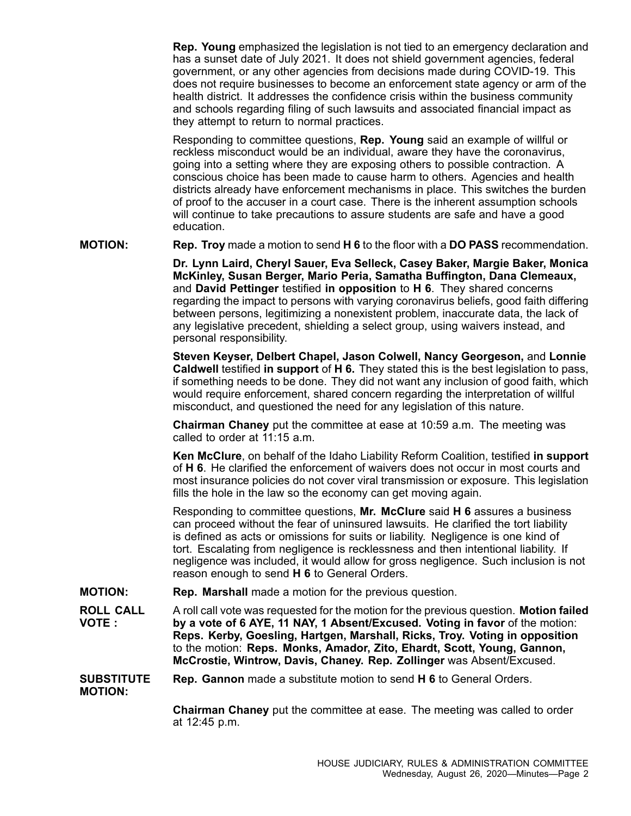**Rep. Young** emphasized the legislation is not tied to an emergency declaration and has <sup>a</sup> sunset date of July 2021. It does not shield government agencies, federal government, or any other agencies from decisions made during COVID-19. This does not require businesses to become an enforcement state agency or arm of the health district. It addresses the confidence crisis within the business community and schools regarding filing of such lawsuits and associated financial impact as they attempt to return to normal practices.

Responding to committee questions, **Rep. Young** said an example of willful or reckless misconduct would be an individual, aware they have the coronavirus, going into <sup>a</sup> setting where they are exposing others to possible contraction. A conscious choice has been made to cause harm to others. Agencies and health districts already have enforcement mechanisms in place. This switches the burden of proof to the accuser in <sup>a</sup> court case. There is the inherent assumption schools will continue to take precautions to assure students are safe and have <sup>a</sup> good education.

**MOTION: Rep. Troy** made <sup>a</sup> motion to send **H 6** to the floor with <sup>a</sup> **DO PASS** recommendation.

**Dr. Lynn Laird, Cheryl Sauer, Eva Selleck, Casey Baker, Margie Baker, Monica McKinley, Susan Berger, Mario Peria, Samatha Buffington, Dana Clemeaux,** and **David Pettinger** testified **in opposition** to **H 6**. They shared concerns regarding the impact to persons with varying coronavirus beliefs, good faith differing between persons, legitimizing <sup>a</sup> nonexistent problem, inaccurate data, the lack of any legislative precedent, shielding <sup>a</sup> select group, using waivers instead, and personal responsibility.

**Steven Keyser, Delbert Chapel, Jason Colwell, Nancy Georgeson,** and **Lonnie Caldwell** testified **in support** of **H 6.** They stated this is the best legislation to pass, if something needs to be done. They did not want any inclusion of good faith, which would require enforcement, shared concern regarding the interpretation of willful misconduct, and questioned the need for any legislation of this nature.

**Chairman Chaney** put the committee at ease at 10:59 a.m. The meeting was called to order at 11:15 a.m.

**Ken McClure**, on behalf of the Idaho Liability Reform Coalition, testified **in support** of **H 6**. He clarified the enforcement of waivers does not occur in most courts and most insurance policies do not cover viral transmission or exposure. This legislation fills the hole in the law so the economy can get moving again.

Responding to committee questions, **Mr. McClure** said **H 6** assures <sup>a</sup> business can proceed without the fear of uninsured lawsuits. He clarified the tort liability is defined as acts or omissions for suits or liability. Negligence is one kind of tort. Escalating from negligence is recklessness and then intentional liability. If negligence was included, it would allow for gross negligence. Such inclusion is not reason enough to send **H 6** to General Orders.

**MOTION: Rep. Marshall** made <sup>a</sup> motion for the previous question.

**ROLL CALL VOTE :** A roll call vote was requested for the motion for the previous question. **Motion failed by <sup>a</sup> vote of 6 AYE, 11 NAY, 1 Absent/Excused. Voting in favor** of the motion: **Reps. Kerby, Goesling, Hartgen, Marshall, Ricks, Troy. Voting in opposition** to the motion: **Reps. Monks, Amador, Zito, Ehardt, Scott, Young, Gannon, McCrostie, Wintrow, Davis, Chaney. Rep. Zollinger** was Absent/Excused.

**SUBSTITUTE MOTION: Rep. Gannon** made <sup>a</sup> substitute motion to send **H 6** to General Orders.

> **Chairman Chaney** put the committee at ease. The meeting was called to order at 12:45 p.m.